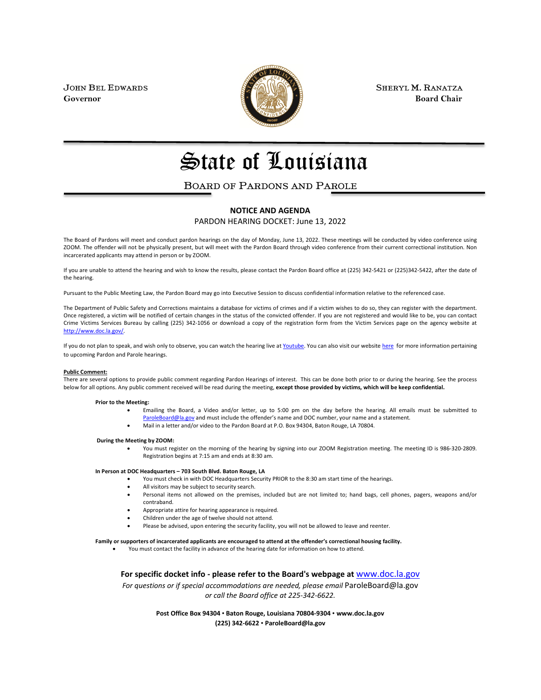

JOHN BEL EDWARDS **SHERYL M. RANATZA SHERYL M. RANATZA Governor** Board Chair **Board Chair Board Chair Board Chair** 

# State of Louisiana

## BOARD OF PARDONS AND PAROLE

#### **NOTICE AND AGENDA**

PARDON HEARING DOCKET: June 13, 2022

The Board of Pardons will meet and conduct pardon hearings on the day of Monday, June 13, 2022. These meetings will be conducted by video conference using ZOOM. The offender will not be physically present, but will meet with the Pardon Board through video conference from their current correctional institution. Non incarcerated applicants may attend in person or by ZOOM.

If you are unable to attend the hearing and wish to know the results, please contact the Pardon Board office at (225) 342-5421 or (225)342-5422, after the date of the hearing.

Pursuant to the Public Meeting Law, the Pardon Board may go into Executive Session to discuss confidential information relative to the referenced case.

The Department of Public Safety and Corrections maintains a database for victims of crimes and if a victim wishes to do so, they can register with the department. Once registered, a victim will be notified of certain changes in the status of the convicted offender. If you are not registered and would like to be, you can contact Crime Victims Services Bureau by calling (225) 342-1056 or download a copy of the registration form from the Victim Services page on the agency website at [http://www.doc.la.gov/.](http://www.doc.la.gov/)

If you do not plan to speak, and wish only to observe, you can watch the hearing live a[t Youtube.](https://www.youtube.com/channel/UCoYjTgNSdFFqnSnuu1Wi3fg/live) You can also visit our websit[e here](https://doc.louisiana.gov/imprisoned-person-programs-resources/pardons-parole/) for more information pertaining to upcoming Pardon and Parole hearings.

#### **Public Comment:**

There are several options to provide public comment regarding Pardon Hearings of interest. This can be done both prior to or during the hearing. See the process below for all options. Any public comment received will be read during the meeting, **except those provided by victims, which will be keep confidential.**

#### **Prior to the Meeting:**

- Emailing the Board, a Video and/or letter, up to 5:00 pm on the day before the hearing. All emails must be submitted to [ParoleBoard@la.gov](mailto:ParoleBoard@la.gov) and must include the offender's name and DOC number, your name and a statement.
- Mail in a letter and/or video to the Pardon Board at P.O. Box 94304, Baton Rouge, LA 70804.

#### **During the Meeting by ZOOM:**

• You must register on the morning of the hearing by signing into our ZOOM Registration meeting. The meeting ID is 986-320-2809. Registration begins at 7:15 am and ends at 8:30 am.

#### **In Person at DOC Headquarters – 703 South Blvd. Baton Rouge, LA**

- You must check in with DOC Headquarters Security PRIOR to the 8:30 am start time of the hearings.
- All visitors may be subject to security search.
- Personal items not allowed on the premises, included but are not limited to; hand bags, cell phones, pagers, weapons and/or contraband.
- Appropriate attire for hearing appearance is required.
- Children under the age of twelve should not attend.
- Please be advised, upon entering the security facility, you will not be allowed to leave and reenter.

#### **Family or supporters of incarcerated applicants are encouraged to attend at the offender's correctional housing facility.**

• You must contact the facility in advance of the hearing date for information on how to attend.

**For specific docket info - please refer to the Board's webpage at** [www.doc.la.gov](http://www.doc.la.gov/)

*For questions or if special accommodations are needed, please email* ParoleBoard@la.gov *or call the Board office at 225-342-6622.*

> **Post Office Box 94304** • **Baton Rouge, Louisiana 70804-9304** • **www.doc.la.gov (225) 342-6622** • **ParoleBoard@la.gov**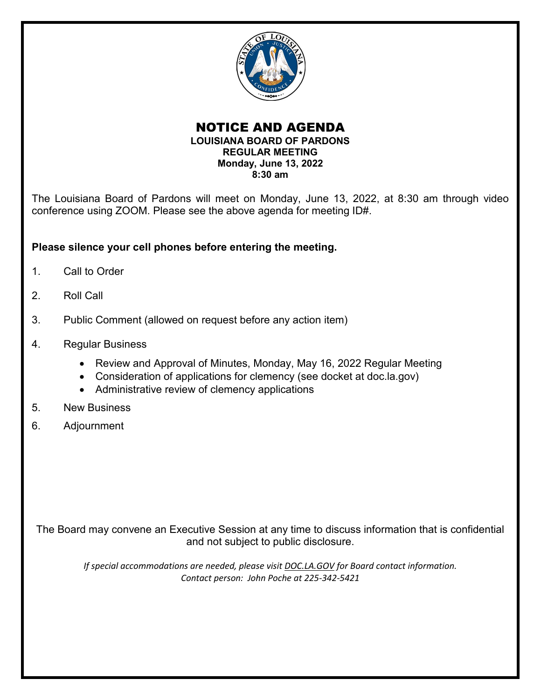

### NOTICE AND AGENDA **LOUISIANA BOARD OF PARDONS REGULAR MEETING Monday, June 13, 2022 8:30 am**

The Louisiana Board of Pardons will meet on Monday, June 13, 2022, at 8:30 am through video conference using ZOOM. Please see the above agenda for meeting ID#.

## **Please silence your cell phones before entering the meeting.**

- 1. Call to Order
- 2. Roll Call
- 3. Public Comment (allowed on request before any action item)
- 4. Regular Business
	- Review and Approval of Minutes, Monday, May 16, 2022 Regular Meeting
	- Consideration of applications for clemency (see docket at doc.la.gov)
	- Administrative review of clemency applications
- 5. New Business
- 6. Adjournment

The Board may convene an Executive Session at any time to discuss information that is confidential and not subject to public disclosure.

*If special accommodations are needed, please visit DOC.LA.GOV for Board contact information. Contact person: John Poche at 225-342-5421*